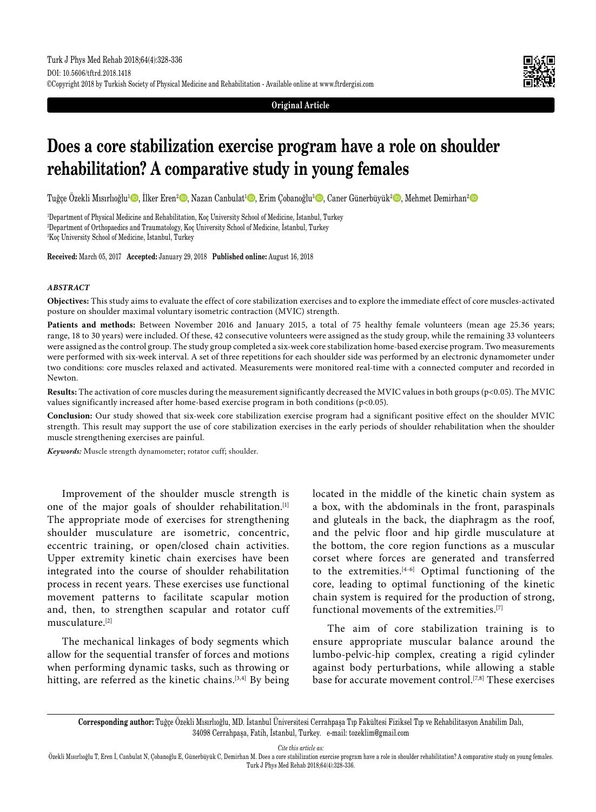**Original Article**

# **Does a core stabilization exercise program have a role on shoulder rehabilitation? A comparative study in young females**

Tuğçe Özekli Mısırlıoğlu<sup>1</sup>©, İlker Eren<sup>2</sup> ©, Nazan Canbulat<sup>ı</sup> ©, Erim Çobanoğlu<sup>3</sup> ©, Caner Günerbüyük<sup>2</sup> ©, Mehmet Demirhan<sup>2</sup> ©

1 Department of Physical Medicine and Rehabilitation, Koç University School of Medicine, İstanbul, Turkey 2 Department of Orthopaedics and Traumatology, Koç University School of Medicine, İstanbul, Turkey 3 Koç University School of Medicine, İstanbul, Turkey

**Received:** March 05, 2017 **Accepted:** January 29, 2018 **Published online:** August 16, 2018

#### *ABSTRACT*

**Objectives:** This study aims to evaluate the effect of core stabilization exercises and to explore the immediate effect of core muscles-activated posture on shoulder maximal voluntary isometric contraction (MVIC) strength.

Patients and methods: Between November 2016 and January 2015, a total of 75 healthy female volunteers (mean age 25.36 years; range, 18 to 30 years) were included. Of these, 42 consecutive volunteers were assigned as the study group, while the remaining 33 volunteers were assigned as the control group. The study group completed a six-week core stabilization home-based exercise program. Two measurements were performed with six-week interval. A set of three repetitions for each shoulder side was performed by an electronic dynamometer under two conditions: core muscles relaxed and activated. Measurements were monitored real-time with a connected computer and recorded in Newton.

**Results:** The activation of core muscles during the measurement significantly decreased the MVIC values in both groups (p<0.05). The MVIC values significantly increased after home-based exercise program in both conditions (p<0.05).

**Conclusion:** Our study showed that six-week core stabilization exercise program had a significant positive effect on the shoulder MVIC strength. This result may support the use of core stabilization exercises in the early periods of shoulder rehabilitation when the shoulder muscle strengthening exercises are painful.

*Keywords:* Muscle strength dynamometer; rotator cuff; shoulder.

Improvement of the shoulder muscle strength is one of the major goals of shoulder rehabilitation.<sup>[1]</sup> The appropriate mode of exercises for strengthening shoulder musculature are isometric, concentric, eccentric training, or open/closed chain activities. Upper extremity kinetic chain exercises have been integrated into the course of shoulder rehabilitation process in recent years. These exercises use functional movement patterns to facilitate scapular motion and, then, to strengthen scapular and rotator cuff musculature.[2]

The mechanical linkages of body segments which allow for the sequential transfer of forces and motions when performing dynamic tasks, such as throwing or hitting, are referred as the kinetic chains.<sup>[3,4]</sup> By being located in the middle of the kinetic chain system as a box, with the abdominals in the front, paraspinals and gluteals in the back, the diaphragm as the roof, and the pelvic floor and hip girdle musculature at the bottom, the core region functions as a muscular corset where forces are generated and transferred to the extremities. $[4-6]$  Optimal functioning of the core, leading to optimal functioning of the kinetic chain system is required for the production of strong, functional movements of the extremities.[7]

The aim of core stabilization training is to ensure appropriate muscular balance around the lumbo-pelvic-hip complex, creating a rigid cylinder against body perturbations, while allowing a stable base for accurate movement control.[7,8] These exercises

*Cite this article as:*

**Corresponding author:** Tuğçe Özekli Mısırlıoğlu, MD. İstanbul Üniversitesi Cerrahpaşa Tıp Fakültesi Fiziksel Tıp ve Rehabilitasyon Anabilim Dalı, 34098 Cerrahpaşa, Fatih, İstanbul, Turkey. e-mail: tozeklim@gmail.com

Özekli Mısırlıoğlu T, Eren İ, Canbulat N, Çobanoğlu E, Günerbüyük C, Demirhan M. Does a core stabilization exercise program have a role in shoulder rehabilitation? A comparative study on young females. Turk J Phys Med Rehab 2018;64(4):328-336.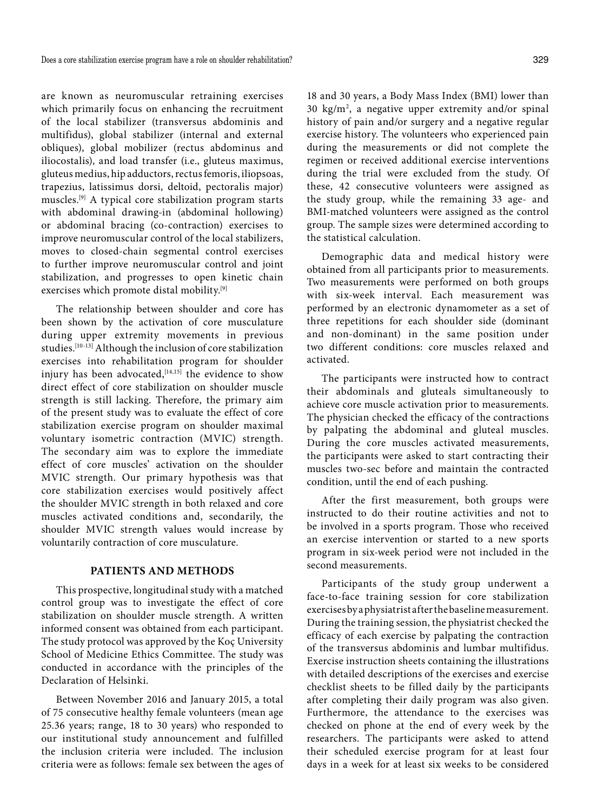are known as neuromuscular retraining exercises which primarily focus on enhancing the recruitment of the local stabilizer (transversus abdominis and multifidus), global stabilizer (internal and external obliques), global mobilizer (rectus abdominus and iliocostalis), and load transfer (i.e., gluteus maximus, gluteus medius, hip adductors, rectus femoris, iliopsoas, trapezius, latissimus dorsi, deltoid, pectoralis major) muscles.[9] A typical core stabilization program starts with abdominal drawing-in (abdominal hollowing) or abdominal bracing (co-contraction) exercises to improve neuromuscular control of the local stabilizers, moves to closed-chain segmental control exercises to further improve neuromuscular control and joint stabilization, and progresses to open kinetic chain exercises which promote distal mobility.<sup>[9]</sup>

The relationship between shoulder and core has been shown by the activation of core musculature during upper extremity movements in previous studies.[10-13] Although the inclusion of core stabilization exercises into rehabilitation program for shoulder injury has been advocated,  $[14,15]$  the evidence to show direct effect of core stabilization on shoulder muscle strength is still lacking. Therefore, the primary aim of the present study was to evaluate the effect of core stabilization exercise program on shoulder maximal voluntary isometric contraction (MVIC) strength. The secondary aim was to explore the immediate effect of core muscles' activation on the shoulder MVIC strength. Our primary hypothesis was that core stabilization exercises would positively affect the shoulder MVIC strength in both relaxed and core muscles activated conditions and, secondarily, the shoulder MVIC strength values would increase by voluntarily contraction of core musculature.

### **PATIENTS AND METHODS**

This prospective, longitudinal study with a matched control group was to investigate the effect of core stabilization on shoulder muscle strength. A written informed consent was obtained from each participant. The study protocol was approved by the Koç University School of Medicine Ethics Committee. The study was conducted in accordance with the principles of the Declaration of Helsinki.

Between November 2016 and January 2015, a total of 75 consecutive healthy female volunteers (mean age 25.36 years; range, 18 to 30 years) who responded to our institutional study announcement and fulfilled the inclusion criteria were included. The inclusion criteria were as follows: female sex between the ages of

18 and 30 years, a Body Mass Index (BMI) lower than 30 kg/m2 , a negative upper extremity and/or spinal history of pain and/or surgery and a negative regular exercise history. The volunteers who experienced pain during the measurements or did not complete the regimen or received additional exercise interventions during the trial were excluded from the study. Of these, 42 consecutive volunteers were assigned as the study group, while the remaining 33 age- and BMI-matched volunteers were assigned as the control group. The sample sizes were determined according to the statistical calculation.

Demographic data and medical history were obtained from all participants prior to measurements. Two measurements were performed on both groups with six-week interval. Each measurement was performed by an electronic dynamometer as a set of three repetitions for each shoulder side (dominant and non-dominant) in the same position under two different conditions: core muscles relaxed and activated.

The participants were instructed how to contract their abdominals and gluteals simultaneously to achieve core muscle activation prior to measurements. The physician checked the efficacy of the contractions by palpating the abdominal and gluteal muscles. During the core muscles activated measurements, the participants were asked to start contracting their muscles two-sec before and maintain the contracted condition, until the end of each pushing.

After the first measurement, both groups were instructed to do their routine activities and not to be involved in a sports program. Those who received an exercise intervention or started to a new sports program in six-week period were not included in the second measurements.

Participants of the study group underwent a face-to-face training session for core stabilization exercises by a physiatrist after the baseline measurement. During the training session, the physiatrist checked the efficacy of each exercise by palpating the contraction of the transversus abdominis and lumbar multifidus. Exercise instruction sheets containing the illustrations with detailed descriptions of the exercises and exercise checklist sheets to be filled daily by the participants after completing their daily program was also given. Furthermore, the attendance to the exercises was checked on phone at the end of every week by the researchers. The participants were asked to attend their scheduled exercise program for at least four days in a week for at least six weeks to be considered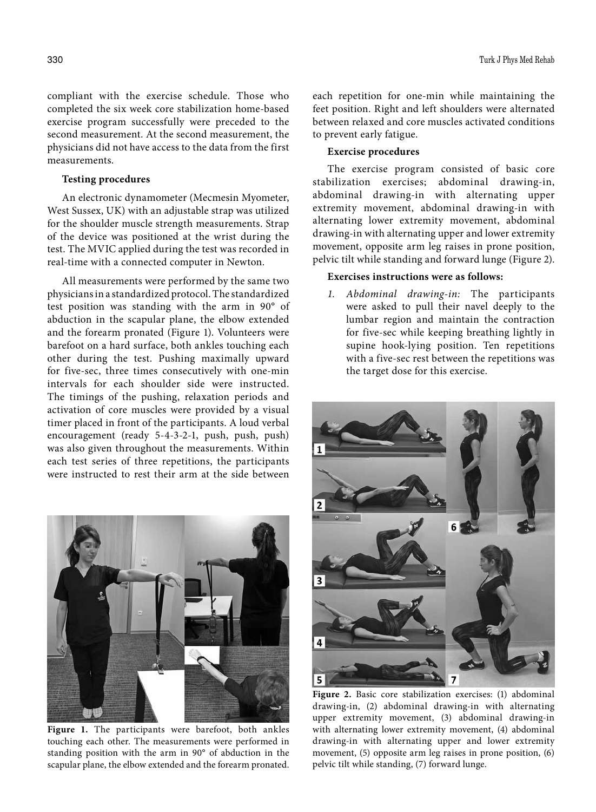compliant with the exercise schedule. Those who completed the six week core stabilization home-based exercise program successfully were preceded to the second measurement. At the second measurement, the physicians did not have access to the data from the first measurements.

### **Testing procedures**

An electronic dynamometer (Mecmesin Myometer, West Sussex, UK) with an adjustable strap was utilized for the shoulder muscle strength measurements. Strap of the device was positioned at the wrist during the test. The MVIC applied during the test was recorded in real-time with a connected computer in Newton.

All measurements were performed by the same two physicians in a standardized protocol. The standardized test position was standing with the arm in 90° of abduction in the scapular plane, the elbow extended and the forearm pronated (Figure 1). Volunteers were barefoot on a hard surface, both ankles touching each other during the test. Pushing maximally upward for five-sec, three times consecutively with one-min intervals for each shoulder side were instructed. The timings of the pushing, relaxation periods and activation of core muscles were provided by a visual timer placed in front of the participants. A loud verbal encouragement (ready 5-4-3-2-1, push, push, push) was also given throughout the measurements. Within each test series of three repetitions, the participants were instructed to rest their arm at the side between



**Figure 1.** The participants were barefoot, both ankles touching each other. The measurements were performed in standing position with the arm in 90° of abduction in the scapular plane, the elbow extended and the forearm pronated.

each repetition for one-min while maintaining the feet position. Right and left shoulders were alternated between relaxed and core muscles activated conditions to prevent early fatigue.

# **Exercise procedures**

The exercise program consisted of basic core stabilization exercises; abdominal drawing-in, abdominal drawing-in with alternating upper extremity movement, abdominal drawing-in with alternating lower extremity movement, abdominal drawing-in with alternating upper and lower extremity movement, opposite arm leg raises in prone position, pelvic tilt while standing and forward lunge (Figure 2).

## **Exercises instructions were as follows:**

*1. Abdominal drawing-in:* The participants were asked to pull their navel deeply to the lumbar region and maintain the contraction for five-sec while keeping breathing lightly in supine hook-lying position. Ten repetitions with a five-sec rest between the repetitions was the target dose for this exercise.



**Figure 2.** Basic core stabilization exercises: (1) abdominal drawing-in, (2) abdominal drawing-in with alternating upper extremity movement, (3) abdominal drawing-in with alternating lower extremity movement, (4) abdominal drawing-in with alternating upper and lower extremity movement, (5) opposite arm leg raises in prone position, (6) pelvic tilt while standing, (7) forward lunge.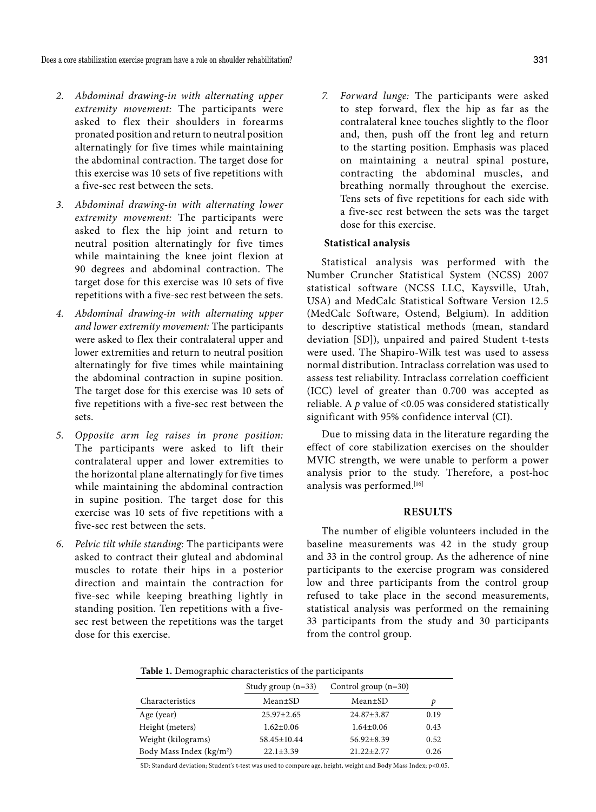- *2. Abdominal drawing-in with alternating upper extremity movement:* The participants were asked to flex their shoulders in forearms pronated position and return to neutral position alternatingly for five times while maintaining the abdominal contraction. The target dose for this exercise was 10 sets of five repetitions with a five-sec rest between the sets.
- *3. Abdominal drawing-in with alternating lower extremity movement:* The participants were asked to flex the hip joint and return to neutral position alternatingly for five times while maintaining the knee joint flexion at 90 degrees and abdominal contraction. The target dose for this exercise was 10 sets of five repetitions with a five-sec rest between the sets.
- *4. Abdominal drawing-in with alternating upper and lower extremity movement:* The participants were asked to flex their contralateral upper and lower extremities and return to neutral position alternatingly for five times while maintaining the abdominal contraction in supine position. The target dose for this exercise was 10 sets of five repetitions with a five-sec rest between the sets.
- *5. Opposite arm leg raises in prone position:* The participants were asked to lift their contralateral upper and lower extremities to the horizontal plane alternatingly for five times while maintaining the abdominal contraction in supine position. The target dose for this exercise was 10 sets of five repetitions with a five-sec rest between the sets.
- *6. Pelvic tilt while standing:* The participants were asked to contract their gluteal and abdominal muscles to rotate their hips in a posterior direction and maintain the contraction for five-sec while keeping breathing lightly in standing position. Ten repetitions with a fivesec rest between the repetitions was the target dose for this exercise.

*7. Forward lunge:* The participants were asked to step forward, flex the hip as far as the contralateral knee touches slightly to the floor and, then, push off the front leg and return to the starting position. Emphasis was placed on maintaining a neutral spinal posture, contracting the abdominal muscles, and breathing normally throughout the exercise. Tens sets of five repetitions for each side with a five-sec rest between the sets was the target dose for this exercise.

### **Statistical analysis**

Statistical analysis was performed with the Number Cruncher Statistical System (NCSS) 2007 statistical software (NCSS LLC, Kaysville, Utah, USA) and MedCalc Statistical Software Version 12.5 (MedCalc Software, Ostend, Belgium). In addition to descriptive statistical methods (mean, standard deviation [SD]), unpaired and paired Student t-tests were used. The Shapiro-Wilk test was used to assess normal distribution. Intraclass correlation was used to assess test reliability. Intraclass correlation coefficient (ICC) level of greater than 0.700 was accepted as reliable. A *p* value of <0.05 was considered statistically significant with 95% confidence interval (CI).

Due to missing data in the literature regarding the effect of core stabilization exercises on the shoulder MVIC strength, we were unable to perform a power analysis prior to the study. Therefore, a post-hoc analysis was performed.<sup>[16]</sup>

#### **RESULTS**

The number of eligible volunteers included in the baseline measurements was 42 in the study group and 33 in the control group. As the adherence of nine participants to the exercise program was considered low and three participants from the control group refused to take place in the second measurements, statistical analysis was performed on the remaining 33 participants from the study and 30 participants from the control group.

**Table 1.** Demographic characteristics of the participants

|                                      | Study group $(n=33)$ | Control group $(n=30)$ |      |
|--------------------------------------|----------------------|------------------------|------|
| Characteristics                      | Mean±SD              | Mean±SD                | D    |
| Age (year)                           | $25.97 \pm 2.65$     | $24.87 \pm 3.87$       | 0.19 |
| Height (meters)                      | $1.62 \pm 0.06$      | $1.64 \pm 0.06$        | 0.43 |
| Weight (kilograms)                   | $58.45 \pm 10.44$    | $56.92 + 8.39$         | 0.52 |
| Body Mass Index (kg/m <sup>2</sup> ) | $22.1 + 3.39$        | $21.22 + 2.77$         | 0.26 |

SD: Standard deviation; Student's t-test was used to compare age, height, weight and Body Mass Index; p<0.05.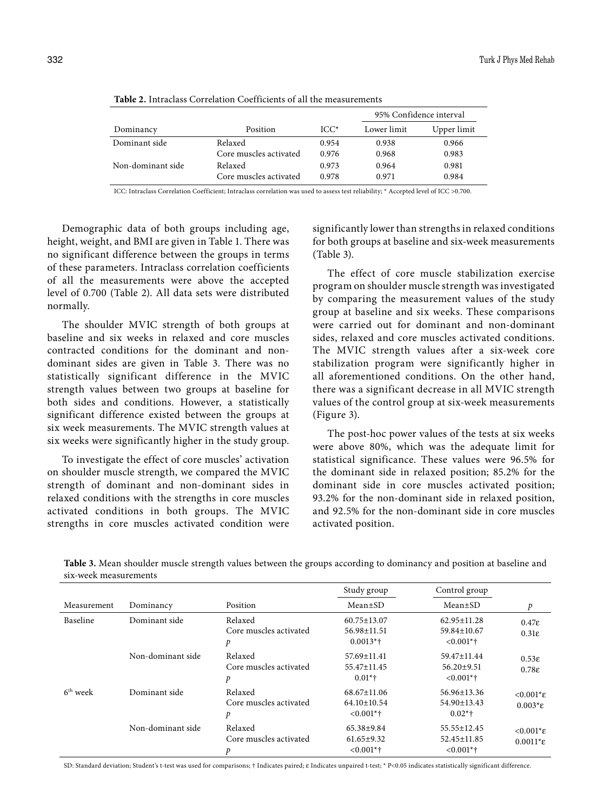|                   |                        |        | 95% Confidence interval |             |
|-------------------|------------------------|--------|-------------------------|-------------|
| Dominancy         | Position               | $ICC*$ | Lower limit             | Upper limit |
| Dominant side     | Relaxed                | 0.954  | 0.938                   | 0.966       |
|                   | Core muscles activated | 0.976  | 0.968                   | 0.983       |
| Non-dominant side | Relaxed                | 0.973  | 0.964                   | 0.981       |
|                   | Core muscles activated | 0.978  | 0.971                   | 0.984       |

**Table 2.** Intraclass Correlation Coefficients of all the measurements

ICC: Intraclass Correlation Coefficient; Intraclass correlation was used to assess test reliability; \* Accepted level of ICC >0.700.

Demographic data of both groups including age, height, weight, and BMI are given in Table 1. There was no significant difference between the groups in terms of these parameters. Intraclass correlation coefficients of all the measurements were above the accepted level of 0.700 (Table 2). All data sets were distributed normally.

The shoulder MVIC strength of both groups at baseline and six weeks in relaxed and core muscles contracted conditions for the dominant and nondominant sides are given in Table 3. There was no statistically significant difference in the MVIC strength values between two groups at baseline for both sides and conditions. However, a statistically significant difference existed between the groups at six week measurements. The MVIC strength values at six weeks were significantly higher in the study group.

To investigate the effect of core muscles' activation on shoulder muscle strength, we compared the MVIC strength of dominant and non-dominant sides in relaxed conditions with the strengths in core muscles activated conditions in both groups. The MVIC strengths in core muscles activated condition were significantly lower than strengths in relaxed conditions for both groups at baseline and six-week measurements (Table 3).

The effect of core muscle stabilization exercise program on shoulder muscle strength was investigated by comparing the measurement values of the study group at baseline and six weeks. These comparisons were carried out for dominant and non-dominant sides, relaxed and core muscles activated conditions. The MVIC strength values after a six-week core stabilization program were significantly higher in all aforementioned conditions. On the other hand, there was a significant decrease in all MVIC strength values of the control group at six-week measurements (Figure 3).

The post-hoc power values of the tests at six weeks were above 80%, which was the adequate limit for statistical significance. These values were 96.5% for the dominant side in relaxed position; 85.2% for the dominant side in core muscles activated position; 93.2% for the non-dominant side in relaxed position, and 92.5% for the non-dominant side in core muscles activated position.

|             |                   |                                        | Study group                                            | Control group                                    |                                                     |
|-------------|-------------------|----------------------------------------|--------------------------------------------------------|--------------------------------------------------|-----------------------------------------------------|
| Measurement | Dominancy         | Position                               | $Mean \pm SD$                                          | $Mean \pm SD$                                    | p                                                   |
| Baseline    | Dominant side     | Relaxed<br>Core muscles activated<br>p | $60.75 \pm 13.07$<br>56.98±11.51<br>$0.0013*$ †        | $62.95 \pm 11.28$<br>59.84±10.67<br>$< 0.001*$ † | $0.47\varepsilon$<br>$0.31\varepsilon$              |
|             | Non-dominant side | Relaxed<br>Core muscles activated<br>p | 57.69±11.41<br>55.47±11.45<br>$0.01*$                  | 59.47±11.44<br>$56.20 \pm 9.51$<br>$< 0.001$ *†  | $0.53\varepsilon$<br>$0.78\varepsilon$              |
| $6th$ week  | Dominant side     | Relaxed<br>Core muscles activated<br>p | $68.67 \pm 11.06$<br>$64.10 \pm 10.54$<br>$< 0.001*$ † | 56.96±13.36<br>54.90±13.43<br>$0.02*$ †          | $< 0.001$ <sup>*</sup> ε<br>$0.003$ <sup>*</sup> ε  |
|             | Non-dominant side | Relaxed<br>Core muscles activated      | $65.38 \pm 9.84$<br>$61.65 \pm 9.32$<br>$< 0.001$ *†   | 55.55±12.45<br>$52.45 \pm 11.85$<br>$< 0.001$ *† | $< 0.001$ <sup>*</sup> E<br>$0.0011$ <sup>*</sup> ε |

**Table 3.** Mean shoulder muscle strength values between the groups according to dominancy and position at baseline and six-week measurements

SD: Standard deviation; Student's t-test was used for comparisons; † Indicates paired; e Indicates unpaired t-test; \* P<0.05 indicates statistically significant difference.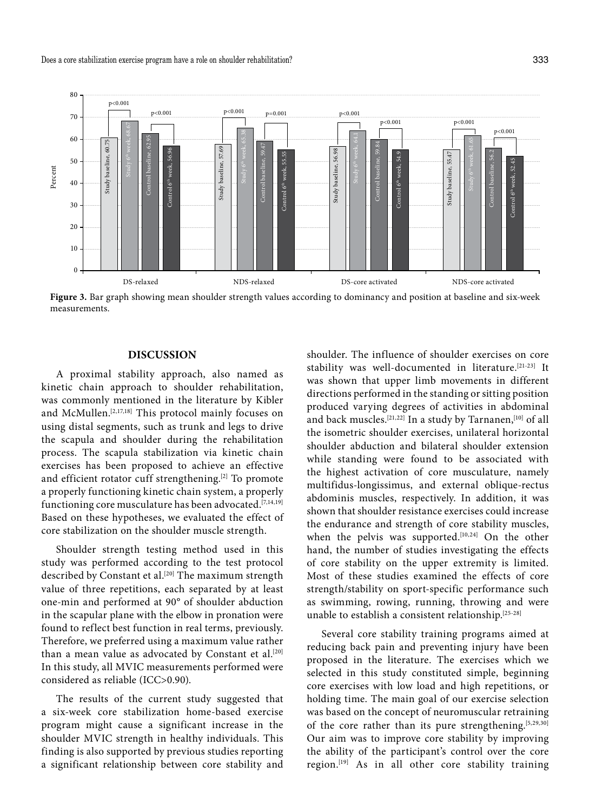

**Figure 3.** Bar graph showing mean shoulder strength values according to dominancy and position at baseline and six-week measurements.

### **DISCUSSION**

A proximal stability approach, also named as kinetic chain approach to shoulder rehabilitation, was commonly mentioned in the literature by Kibler and McMullen.[2,17,18] This protocol mainly focuses on using distal segments, such as trunk and legs to drive the scapula and shoulder during the rehabilitation process. The scapula stabilization via kinetic chain exercises has been proposed to achieve an effective and efficient rotator cuff strengthening.[2] To promote a properly functioning kinetic chain system, a properly functioning core musculature has been advocated.<sup>[7,14,19]</sup> Based on these hypotheses, we evaluated the effect of core stabilization on the shoulder muscle strength.

Shoulder strength testing method used in this study was performed according to the test protocol described by Constant et al.<sup>[20]</sup> The maximum strength value of three repetitions, each separated by at least one-min and performed at 90° of shoulder abduction in the scapular plane with the elbow in pronation were found to reflect best function in real terms, previously. Therefore, we preferred using a maximum value rather than a mean value as advocated by Constant et al.<sup>[20]</sup> In this study, all MVIC measurements performed were considered as reliable (ICC>0.90).

The results of the current study suggested that a six-week core stabilization home-based exercise program might cause a significant increase in the shoulder MVIC strength in healthy individuals. This finding is also supported by previous studies reporting a significant relationship between core stability and shoulder. The influence of shoulder exercises on core stability was well-documented in literature.[21-23] It was shown that upper limb movements in different directions performed in the standing or sitting position produced varying degrees of activities in abdominal and back muscles.<sup>[21,22]</sup> In a study by Tarnanen,<sup>[10]</sup> of all the isometric shoulder exercises, unilateral horizontal shoulder abduction and bilateral shoulder extension while standing were found to be associated with the highest activation of core musculature, namely multifidus-longissimus, and external oblique-rectus abdominis muscles, respectively. In addition, it was shown that shoulder resistance exercises could increase the endurance and strength of core stability muscles, when the pelvis was supported.<sup>[10,24]</sup> On the other hand, the number of studies investigating the effects of core stability on the upper extremity is limited. Most of these studies examined the effects of core strength/stability on sport-specific performance such as swimming, rowing, running, throwing and were unable to establish a consistent relationship.[25-28]

Several core stability training programs aimed at reducing back pain and preventing injury have been proposed in the literature. The exercises which we selected in this study constituted simple, beginning core exercises with low load and high repetitions, or holding time. The main goal of our exercise selection was based on the concept of neuromuscular retraining of the core rather than its pure strengthening.<sup>[5,29,30]</sup> Our aim was to improve core stability by improving the ability of the participant's control over the core region.[19] As in all other core stability training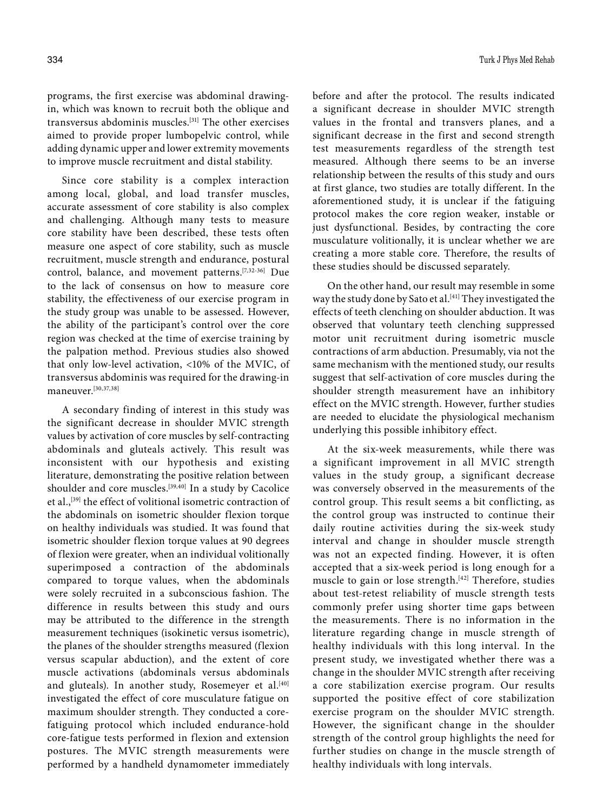334 Turk J Phys Med Rehab

programs, the first exercise was abdominal drawingin, which was known to recruit both the oblique and transversus abdominis muscles.[31] The other exercises aimed to provide proper lumbopelvic control, while adding dynamic upper and lower extremity movements to improve muscle recruitment and distal stability.

Since core stability is a complex interaction among local, global, and load transfer muscles, accurate assessment of core stability is also complex and challenging. Although many tests to measure core stability have been described, these tests often measure one aspect of core stability, such as muscle recruitment, muscle strength and endurance, postural control, balance, and movement patterns.[7,32-36] Due to the lack of consensus on how to measure core stability, the effectiveness of our exercise program in the study group was unable to be assessed. However, the ability of the participant's control over the core region was checked at the time of exercise training by the palpation method. Previous studies also showed that only low-level activation, <10% of the MVIC, of transversus abdominis was required for the drawing-in maneuver.[30,37,38]

A secondary finding of interest in this study was the significant decrease in shoulder MVIC strength values by activation of core muscles by self-contracting abdominals and gluteals actively. This result was inconsistent with our hypothesis and existing literature, demonstrating the positive relation between shoulder and core muscles.<sup>[39,40]</sup> In a study by Cacolice et al.,<sup>[39]</sup> the effect of volitional isometric contraction of the abdominals on isometric shoulder flexion torque on healthy individuals was studied. It was found that isometric shoulder flexion torque values at 90 degrees of flexion were greater, when an individual volitionally superimposed a contraction of the abdominals compared to torque values, when the abdominals were solely recruited in a subconscious fashion. The difference in results between this study and ours may be attributed to the difference in the strength measurement techniques (isokinetic versus isometric), the planes of the shoulder strengths measured (flexion versus scapular abduction), and the extent of core muscle activations (abdominals versus abdominals and gluteals). In another study, Rosemeyer et al.<sup>[40]</sup> investigated the effect of core musculature fatigue on maximum shoulder strength. They conducted a corefatiguing protocol which included endurance-hold core-fatigue tests performed in flexion and extension postures. The MVIC strength measurements were performed by a handheld dynamometer immediately

before and after the protocol. The results indicated a significant decrease in shoulder MVIC strength values in the frontal and transvers planes, and a significant decrease in the first and second strength test measurements regardless of the strength test measured. Although there seems to be an inverse relationship between the results of this study and ours at first glance, two studies are totally different. In the aforementioned study, it is unclear if the fatiguing protocol makes the core region weaker, instable or just dysfunctional. Besides, by contracting the core musculature volitionally, it is unclear whether we are creating a more stable core. Therefore, the results of these studies should be discussed separately.

On the other hand, our result may resemble in some way the study done by Sato et al.<sup>[41]</sup> They investigated the effects of teeth clenching on shoulder abduction. It was observed that voluntary teeth clenching suppressed motor unit recruitment during isometric muscle contractions of arm abduction. Presumably, via not the same mechanism with the mentioned study, our results suggest that self-activation of core muscles during the shoulder strength measurement have an inhibitory effect on the MVIC strength. However, further studies are needed to elucidate the physiological mechanism underlying this possible inhibitory effect.

At the six-week measurements, while there was a significant improvement in all MVIC strength values in the study group, a significant decrease was conversely observed in the measurements of the control group. This result seems a bit conflicting, as the control group was instructed to continue their daily routine activities during the six-week study interval and change in shoulder muscle strength was not an expected finding. However, it is often accepted that a six-week period is long enough for a muscle to gain or lose strength.<sup>[42]</sup> Therefore, studies about test-retest reliability of muscle strength tests commonly prefer using shorter time gaps between the measurements. There is no information in the literature regarding change in muscle strength of healthy individuals with this long interval. In the present study, we investigated whether there was a change in the shoulder MVIC strength after receiving a core stabilization exercise program. Our results supported the positive effect of core stabilization exercise program on the shoulder MVIC strength. However, the significant change in the shoulder strength of the control group highlights the need for further studies on change in the muscle strength of healthy individuals with long intervals.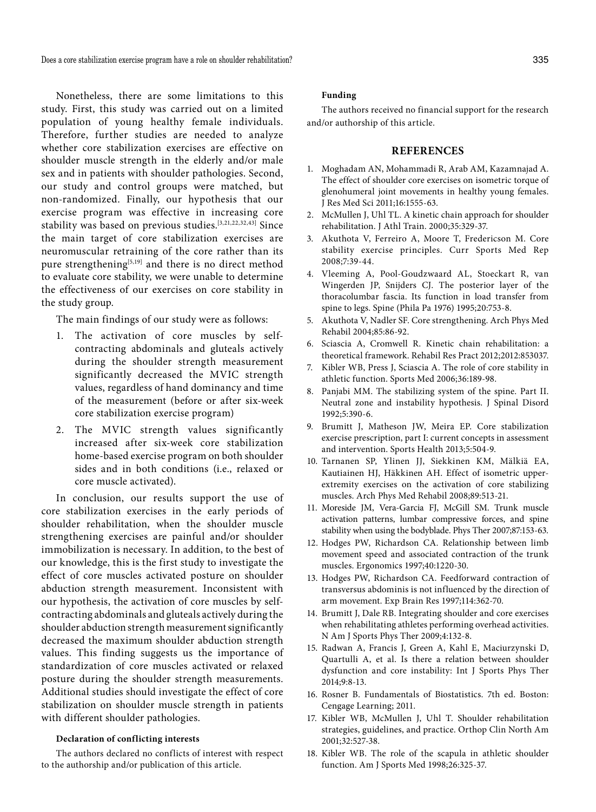Does a core stabilization exercise program have a role on shoulder rehabilitation? 335

Nonetheless, there are some limitations to this study. First, this study was carried out on a limited population of young healthy female individuals. Therefore, further studies are needed to analyze whether core stabilization exercises are effective on shoulder muscle strength in the elderly and/or male sex and in patients with shoulder pathologies. Second, our study and control groups were matched, but non-randomized. Finally, our hypothesis that our exercise program was effective in increasing core stability was based on previous studies.[3,21,22,32,43] Since the main target of core stabilization exercises are neuromuscular retraining of the core rather than its pure strengthening $[5,19]$  and there is no direct method to evaluate core stability, we were unable to determine the effectiveness of our exercises on core stability in the study group.

The main findings of our study were as follows:

- 1. The activation of core muscles by selfcontracting abdominals and gluteals actively during the shoulder strength measurement significantly decreased the MVIC strength values, regardless of hand dominancy and time of the measurement (before or after six-week core stabilization exercise program)
- 2. The MVIC strength values significantly increased after six-week core stabilization home-based exercise program on both shoulder sides and in both conditions (i.e., relaxed or core muscle activated).

In conclusion, our results support the use of core stabilization exercises in the early periods of shoulder rehabilitation, when the shoulder muscle strengthening exercises are painful and/or shoulder immobilization is necessary. In addition, to the best of our knowledge, this is the first study to investigate the effect of core muscles activated posture on shoulder abduction strength measurement. Inconsistent with our hypothesis, the activation of core muscles by selfcontracting abdominals and gluteals actively during the shoulder abduction strength measurement significantly decreased the maximum shoulder abduction strength values. This finding suggests us the importance of standardization of core muscles activated or relaxed posture during the shoulder strength measurements. Additional studies should investigate the effect of core stabilization on shoulder muscle strength in patients with different shoulder pathologies.

#### **Declaration of conflicting interests**

The authors declared no conflicts of interest with respect to the authorship and/or publication of this article.

#### **Funding**

The authors received no financial support for the research and/or authorship of this article.

#### **REFERENCES**

- 1. Moghadam AN, Mohammadi R, Arab AM, Kazamnajad A. The effect of shoulder core exercises on isometric torque of glenohumeral joint movements in healthy young females. J Res Med Sci 2011;16:1555-63.
- 2. McMullen J, Uhl TL. A kinetic chain approach for shoulder rehabilitation. J Athl Train. 2000;35:329-37.
- 3. Akuthota V, Ferreiro A, Moore T, Fredericson M. Core stability exercise principles. Curr Sports Med Rep 2008;7:39-44.
- 4. Vleeming A, Pool-Goudzwaard AL, Stoeckart R, van Wingerden JP, Snijders CJ. The posterior layer of the thoracolumbar fascia. Its function in load transfer from spine to legs. Spine (Phila Pa 1976) 1995;20:753-8.
- 5. Akuthota V, Nadler SF. Core strengthening. Arch Phys Med Rehabil 2004;85:86-92.
- 6. Sciascia A, Cromwell R. Kinetic chain rehabilitation: a theoretical framework. Rehabil Res Pract 2012;2012:853037.
- 7. Kibler WB, Press J, Sciascia A. The role of core stability in athletic function. Sports Med 2006;36:189-98.
- 8. Panjabi MM. The stabilizing system of the spine. Part II. Neutral zone and instability hypothesis. J Spinal Disord 1992;5:390-6.
- 9. Brumitt J, Matheson JW, Meira EP. Core stabilization exercise prescription, part I: current concepts in assessment and intervention. Sports Health 2013;5:504-9.
- 10. Tarnanen SP, Ylinen JJ, Siekkinen KM, Mälkiä EA, Kautiainen HJ, Häkkinen AH. Effect of isometric upperextremity exercises on the activation of core stabilizing muscles. Arch Phys Med Rehabil 2008;89:513-21.
- 11. Moreside JM, Vera-Garcia FJ, McGill SM. Trunk muscle activation patterns, lumbar compressive forces, and spine stability when using the bodyblade. Phys Ther 2007;87:153-63.
- 12. Hodges PW, Richardson CA. Relationship between limb movement speed and associated contraction of the trunk muscles. Ergonomics 1997;40:1220-30.
- 13. Hodges PW, Richardson CA. Feedforward contraction of transversus abdominis is not influenced by the direction of arm movement. Exp Brain Res 1997;114:362-70.
- 14. Brumitt J, Dale RB. Integrating shoulder and core exercises when rehabilitating athletes performing overhead activities. N Am J Sports Phys Ther 2009;4:132-8.
- 15. Radwan A, Francis J, Green A, Kahl E, Maciurzynski D, Quartulli A, et al. Is there a relation between shoulder dysfunction and core instability: Int J Sports Phys Ther 2014;9:8-13.
- 16. Rosner B. Fundamentals of Biostatistics. 7th ed. Boston: Cengage Learning; 2011.
- 17. Kibler WB, McMullen J, Uhl T. Shoulder rehabilitation strategies, guidelines, and practice. Orthop Clin North Am 2001;32:527-38.
- 18. Kibler WB. The role of the scapula in athletic shoulder function. Am J Sports Med 1998;26:325-37.